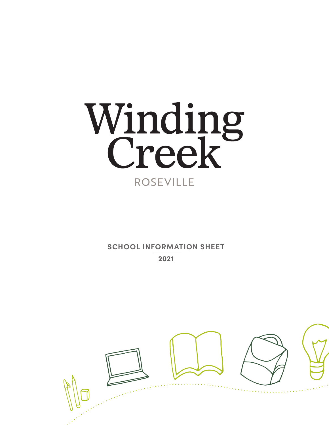

**SCHOOL INFORMATION SHEET 2021**

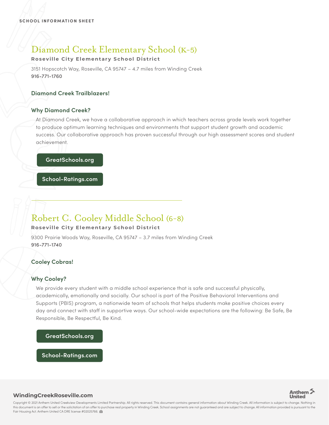# Diamond Creek Elementary School (K-5)

## **Roseville City Elementary School District**

3151 Hopscotch Way, Roseville, CA 95747 – 4.7 miles from Winding Creek 916-771-1760

### **Diamond Creek Trailblazers!**

### **Why Diamond Creek?**

At Diamond Creek, we have a collaborative approach in which teachers across grade levels work together to produce optimum learning techniques and environments that support student growth and academic success. Our collaborative approach has proven successful through our high assessment scores and student achievement.

### **GreatSchools.org**

**School-Ratings.com**

## Robert C. Cooley Middle School (6-8)

### **Roseville City Elementary School District**

9300 Prairie Woods Way, Roseville, CA 95747 – 3.7 miles from Winding Creek 916-771-1740

## **Cooley Cobras!**

## **Why Cooley?**

We provide every student with a middle school experience that is safe and successful physically, academically, emotionally and socially. Our school is part of the Positive Behavioral Interventions and Supports (PBIS) program, a nationwide team of schools that helps students make positive choices every day and connect with staff in supportive ways. Our school-wide expectations are the following: Be Safe, Be Responsible, Be Respectful, Be Kind.

### **GreatSchools.org**

**School-Ratings.com**



### **WindingCreekRoseville.com**

Copyright © 2021 Anthem United Creekview Developments Limited Partnership. All rights reserved. This document contains general information about Winding Creek. All information is subject to change. Nothing in this document is an offer to sell or the solicitation of an offer to purchase real property in Winding Creek. School assignments are not guaranteed and are subject to change. All information provided is pursuant to the Fair Housing Act. Anthem United CA DRE license #02025766.